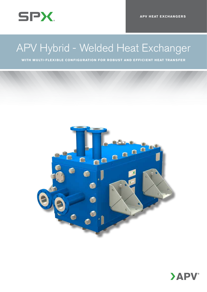

# APV Hybrid - Welded Heat Exchanger

**with multi-flexible configuration for robust and efficient heat transfer**



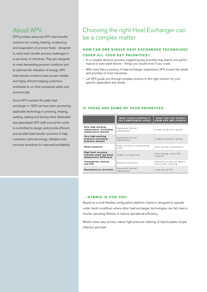### About APV

SPX provides advanced APV heat transfer solutions for cooling, heating, condensing and evaporation of process fluids - designed to solve heat transfer process challenges in a vast array of industries. They are designed to meet demanding process conditions and to optimize the utilisation of energy. APV heat transfer solutions have proven reliable and highly efficient helping customers worldwide to run their processes safely and economically.

Since APV invented the plate heat exchanger in 1923 we have been pioneering applicable technology in pressing, shaping, welding, sealing and testing steel. Dedicated and specialized SPX staff around the world is committed to design and provide efficient and durable heat transfer solutions to help customers optimize energy utilization and minimize downtime for improved profitability.

# Choosing the right Heat Exchanger can be a complex matter

### **HOW CAN ONE SINGLE HEAT EXCHANGER TECHNOLOGY cover all your key priorities?**

- In a complex decision process, neglecting key priorities may lead to low performance or even plant failure – things you would re-do if you could.
- • With more than a century of heat exchanger experience, SPX knows the needs and priorities of most industries.
- Let SPX guide you through complex choices to the right solution for your specific application and needs.

### **IF THESE ARE SOME OF YOUR PRIORITIES...**

|                                                                         | <b>WHAT COULD HAPPEN IF</b><br><b>YOU COMPROMISE HERE?</b> | <b>WHAT CAN YOU EXPECT</b><br><b>FROM SPX AND HYBRID?</b> |  |
|-------------------------------------------------------------------------|------------------------------------------------------------|-----------------------------------------------------------|--|
| Very high working<br>temperature, (including<br>temperature shocks)     | Equipment failure/<br>replacement                          | Longer production uptime                                  |  |
| Very high working<br>pressure (including<br>pressure shocks)            | Equipment failure/<br>replacement                          | Longer production uptime                                  |  |
| <b>Small footprint</b>                                                  | High conversion/engineering<br>costs                       | Cost savings, accessibility                               |  |
| High heat recovery,<br>extreme small log mean<br>temperature difference | Higher running costs                                       | Cost savings, lower CO <sub>c</sub><br>footprint          |  |
| Cleanability, manual<br>and CIP                                         | Reduced efficiency                                         | Operation at desired specifi-<br>cation after cleaning    |  |
| Resistance to corrosion                                                 | Equipment failure/<br>replacement                          | Long service life                                         |  |

#### **… Hybrid is for you!**

Based on a multi-flexible configuration platform, Hybrid is designed to operate under harsh conditions where other heat exchanger technologies can fail, have a shorter operating lifetime, or reduce operational efficiency.

What's more, easy access makes high-pressure cleaning of Hybrid plates simple, effective and fast!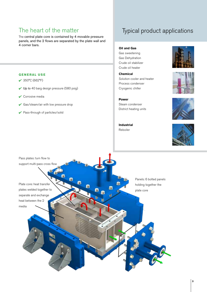# The heart of the matter

The central plate core is contained by 4 movable pressure panels, and the 2 flows are separated by the plate wall and 4 corner bars.

### **G eneral use**

- $\sqrt{350^{\circ}C(662^{\circ}F)}$
- $\vee$  Up to 40 barg design pressure (580 psig)
- $\sqrt{\phantom{a}}$  Corrosive media
- $\vee$  Gas/steam/air with low pressure drop
- 4 Pass-through of particles/solid

# Typical product applications

**Oil and Gas**

Gas sweetening Gas Dehydration Crude oil stabilizer Crude oil heater

**Chemical** Solution cooler and heater Process condenser Cryogenic chiller

**Power** Steam condenser District heating units

**Industrial** Reboiler











**3**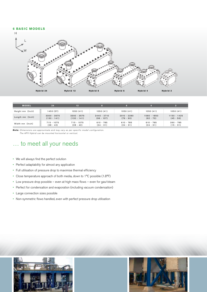### **6 basic models**



| <b>MODEL</b>     | 24            | 12            |               |               |             |               |
|------------------|---------------|---------------|---------------|---------------|-------------|---------------|
| Height mm (Inch) | 1450 (57)     | 1050(41)      | 1050(41)      | 1050(41)      | 1050(41)    | 1050(41)      |
| Length mm (Inch) | $3300 - 3575$ | $3300 - 3575$ | $2440 - 2710$ | $2010 - 2280$ | 1580 - 1850 | $1150 - 1425$ |
|                  | $(130 - 141)$ | $(130 - 141)$ | $(96 - 107)$  | $(79 - 90)$   | $(62 - 73)$ | $(45 - 56)$   |
| Width mm (Inch)  | $715 - 1075$  | $715 - 1075$  | $610 - 785$   | $610 - 785$   | $610 - 785$ | $390 - 785$   |
|                  | $(28 - 42)$   | $(28 - 42)$   | $(24 - 31)$   | $(24 - 31)$   | $(24 - 31)$ | $(15 - 31)$   |

*Note: Dimensions are approximate and may vary as per specific model configuration. The APV Hybrid can be mounted horisontal or vertical.*

# … to meet all your needs

- • We will always find the perfect solution
- Perfect adaptability for almost any application
- Full utilisation of pressure drop to maximise thermal efficiency
- • Close temperature approach of both media, down to 1°C possible (1.8°F)
- • Low pressure drop possible even at high mass flows even for gas/steam
- Perfect for condensation and evaporation (including vacuum condensation)
- • Large connection sizes possible
- • Non-symmetric flows handled, even with perfect pressure drop utilisation

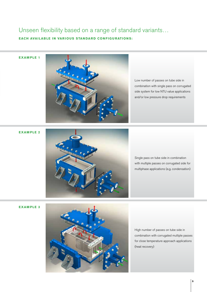## Unseen flexibility based on a range of standard variants… **Each available in various standard configurations:**

**EXAMPLE 1** 



Low number of passes on tube side in combination with single pass on corrugated side system for low NTU value applications and/or low pressure drop requirements

**EXAMPLE 2** 



Single pass on tube side in combination with multiple passes on corrugated side for multiphase applications (e.g. condensation)

**Exam ple 3**



High number of passes on tube side in combination with corrugated multiple passes for close temperature approach applications (heat recovery)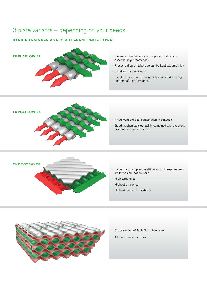# 3 plate variants – depending on your needs

### **Hybrid features 3 very different plate types!**



• All plates are cross-flow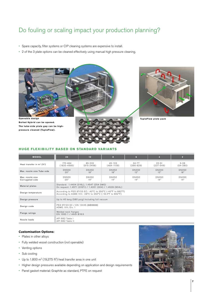# Do fouling or scaling impact your production planning?

- • Spare capacity, filter systems or CIP cleaning systems are expensive to install.
- 2 of the 3 plate options can be cleaned effectively using manual high pressure cleaning.



### **H uge flexibility based on standard variants**

| <b>MODEL</b>                              | 24                                                                                                                      | 12                       | $\mathbf{8}$                 | $6\phantom{.}6$            | $\overline{4}$           | $\overline{2}$         |  |  |
|-------------------------------------------|-------------------------------------------------------------------------------------------------------------------------|--------------------------|------------------------------|----------------------------|--------------------------|------------------------|--|--|
| Heat transfer in $m^2$ (ft <sup>2</sup> ) | $170 - 464$<br>$(1830 - 4995)$                                                                                          | 85-232<br>$(915 - 2498)$ | $45 - 103$<br>$(484 - 1109)$ | $34 - 77$<br>$(366 - 829)$ | $99 - 51$<br>$(237-549)$ | $5 - 26$<br>$(54-280)$ |  |  |
| Max. nozzle size Tube side                | <b>DN500</b><br>20"                                                                                                     | DN450<br>18"             | DN450<br>18"                 | <b>DN300</b><br>12"        | <b>DN300</b><br>12"      | DN450<br>18"           |  |  |
| Max. nozzle size<br>Corrugated side       | <b>DN500</b><br>20"                                                                                                     | <b>DN350</b><br>14"      | <b>DN350</b><br>14"          | DN350<br>14"               | <b>DN350</b><br>14"      | DN350<br>14"           |  |  |
| Material plates                           | Standard: 1.4404 (316L), 1.4547 (254 SMO)<br>On request: 1.4571 (316Ti) / 1.4301 (304) / 1.4539 (904L)                  |                          |                              |                            |                          |                        |  |  |
| Design temperature                        | According to PED 97/23 EC: -40°C to 350°C (-40°F to 662°F)<br>According to ASME VIII: -28°C to 350°C (-18.4°F to 662°F) |                          |                              |                            |                          |                        |  |  |
| Design pressure                           | Up to 40 barg (580 psig) Including full vacuum                                                                          |                          |                              |                            |                          |                        |  |  |
| Design code                               | PED 97/23 EC / EN 13445 (AD2000)<br>ASME. VIII, Div. 1                                                                  |                          |                              |                            |                          |                        |  |  |
| Flange ratings                            | Welded neck flanges<br>EN 1092-1 / ANSI B16.5                                                                           |                          |                              |                            |                          |                        |  |  |
| Nozzle loads                              | API 662 Table I<br>API 662 Table II                                                                                     |                          |                              |                            |                          |                        |  |  |

### **Customisation Options:**

- Plates in other alloys
- • Fully welded vessel construction (not openable)
- Venting options
- • Sub cooling
- Up to  $1.800$  m<sup>2</sup> (19,375 ft<sup>2</sup>) heat transfer area in one unit
- • Higher design pressures available depending on application and design requirements
- • Panel gasket material: Graphite as standard, PTFE on request